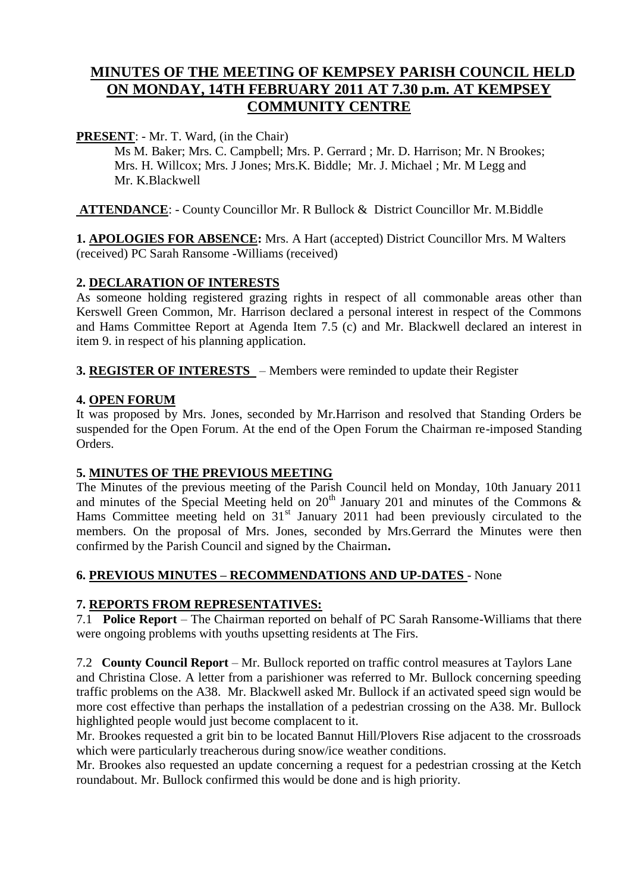# **MINUTES OF THE MEETING OF KEMPSEY PARISH COUNCIL HELD ON MONDAY, 14TH FEBRUARY 2011 AT 7.30 p.m. AT KEMPSEY COMMUNITY CENTRE**

**PRESENT**: - Mr. T. Ward, (in the Chair)

Ms M. Baker; Mrs. C. Campbell; Mrs. P. Gerrard ; Mr. D. Harrison; Mr. N Brookes; Mrs. H. Willcox; Mrs. J Jones; Mrs.K. Biddle; Mr. J. Michael ; Mr. M Legg and Mr. K.Blackwell

**ATTENDANCE**: - County Councillor Mr. R Bullock & District Councillor Mr. M.Biddle

**1. APOLOGIES FOR ABSENCE:** Mrs. A Hart (accepted) District Councillor Mrs. M Walters (received) PC Sarah Ransome -Williams (received)

#### **2. DECLARATION OF INTERESTS**

As someone holding registered grazing rights in respect of all commonable areas other than Kerswell Green Common, Mr. Harrison declared a personal interest in respect of the Commons and Hams Committee Report at Agenda Item 7.5 (c) and Mr. Blackwell declared an interest in item 9. in respect of his planning application.

**3. REGISTER OF INTERESTS** – Members were reminded to update their Register

## **4. OPEN FORUM**

It was proposed by Mrs. Jones, seconded by Mr.Harrison and resolved that Standing Orders be suspended for the Open Forum. At the end of the Open Forum the Chairman re-imposed Standing Orders.

#### **5. MINUTES OF THE PREVIOUS MEETING**

The Minutes of the previous meeting of the Parish Council held on Monday, 10th January 2011 and minutes of the Special Meeting held on  $20<sup>th</sup>$  January 201 and minutes of the Commons & Hams Committee meeting held on  $31<sup>st</sup>$  January 2011 had been previously circulated to the members. On the proposal of Mrs. Jones, seconded by Mrs.Gerrard the Minutes were then confirmed by the Parish Council and signed by the Chairman**.** 

#### **6. PREVIOUS MINUTES – RECOMMENDATIONS AND UP-DATES** - None

#### **7. REPORTS FROM REPRESENTATIVES:**

7.1 **Police Report** – The Chairman reported on behalf of PC Sarah Ransome-Williams that there were ongoing problems with youths upsetting residents at The Firs.

7.2 **County Council Report** – Mr. Bullock reported on traffic control measures at Taylors Lane and Christina Close. A letter from a parishioner was referred to Mr. Bullock concerning speeding traffic problems on the A38. Mr. Blackwell asked Mr. Bullock if an activated speed sign would be more cost effective than perhaps the installation of a pedestrian crossing on the A38. Mr. Bullock highlighted people would just become complacent to it.

Mr. Brookes requested a grit bin to be located Bannut Hill/Plovers Rise adjacent to the crossroads which were particularly treacherous during snow/ice weather conditions.

Mr. Brookes also requested an update concerning a request for a pedestrian crossing at the Ketch roundabout. Mr. Bullock confirmed this would be done and is high priority.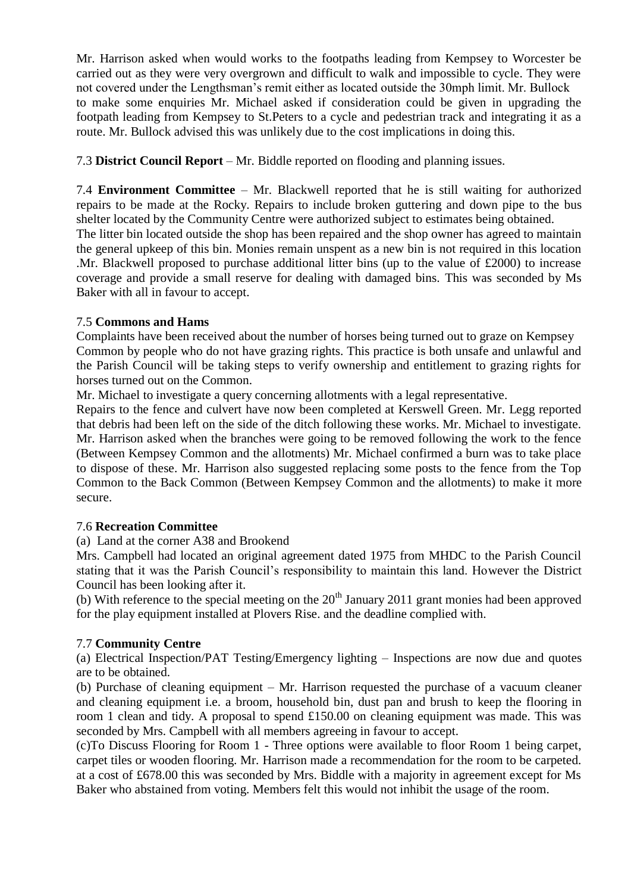Mr. Harrison asked when would works to the footpaths leading from Kempsey to Worcester be carried out as they were very overgrown and difficult to walk and impossible to cycle. They were not covered under the Lengthsman's remit either as located outside the 30mph limit. Mr. Bullock to make some enquiries Mr. Michael asked if consideration could be given in upgrading the footpath leading from Kempsey to St.Peters to a cycle and pedestrian track and integrating it as a route. Mr. Bullock advised this was unlikely due to the cost implications in doing this.

7.3 **District Council Report** – Mr. Biddle reported on flooding and planning issues.

7.4 **Environment Committee** – Mr. Blackwell reported that he is still waiting for authorized repairs to be made at the Rocky. Repairs to include broken guttering and down pipe to the bus shelter located by the Community Centre were authorized subject to estimates being obtained. The litter bin located outside the shop has been repaired and the shop owner has agreed to maintain the general upkeep of this bin. Monies remain unspent as a new bin is not required in this location .Mr. Blackwell proposed to purchase additional litter bins (up to the value of £2000) to increase coverage and provide a small reserve for dealing with damaged bins. This was seconded by Ms Baker with all in favour to accept.

#### 7.5 **Commons and Hams**

Complaints have been received about the number of horses being turned out to graze on Kempsey Common by people who do not have grazing rights. This practice is both unsafe and unlawful and the Parish Council will be taking steps to verify ownership and entitlement to grazing rights for horses turned out on the Common.

Mr. Michael to investigate a query concerning allotments with a legal representative.

Repairs to the fence and culvert have now been completed at Kerswell Green. Mr. Legg reported that debris had been left on the side of the ditch following these works. Mr. Michael to investigate. Mr. Harrison asked when the branches were going to be removed following the work to the fence (Between Kempsey Common and the allotments) Mr. Michael confirmed a burn was to take place to dispose of these. Mr. Harrison also suggested replacing some posts to the fence from the Top Common to the Back Common (Between Kempsey Common and the allotments) to make it more secure.

#### 7.6 **Recreation Committee**

(a) Land at the corner A38 and Brookend

Mrs. Campbell had located an original agreement dated 1975 from MHDC to the Parish Council stating that it was the Parish Council's responsibility to maintain this land. However the District Council has been looking after it.

(b) With reference to the special meeting on the  $20<sup>th</sup>$  January 2011 grant monies had been approved for the play equipment installed at Plovers Rise. and the deadline complied with.

#### 7.7 **Community Centre**

(a) Electrical Inspection/PAT Testing/Emergency lighting – Inspections are now due and quotes are to be obtained.

(b) Purchase of cleaning equipment – Mr. Harrison requested the purchase of a vacuum cleaner and cleaning equipment i.e. a broom, household bin, dust pan and brush to keep the flooring in room 1 clean and tidy. A proposal to spend £150.00 on cleaning equipment was made. This was seconded by Mrs. Campbell with all members agreeing in favour to accept.

(c)To Discuss Flooring for Room 1 - Three options were available to floor Room 1 being carpet, carpet tiles or wooden flooring. Mr. Harrison made a recommendation for the room to be carpeted. at a cost of £678.00 this was seconded by Mrs. Biddle with a majority in agreement except for Ms Baker who abstained from voting. Members felt this would not inhibit the usage of the room.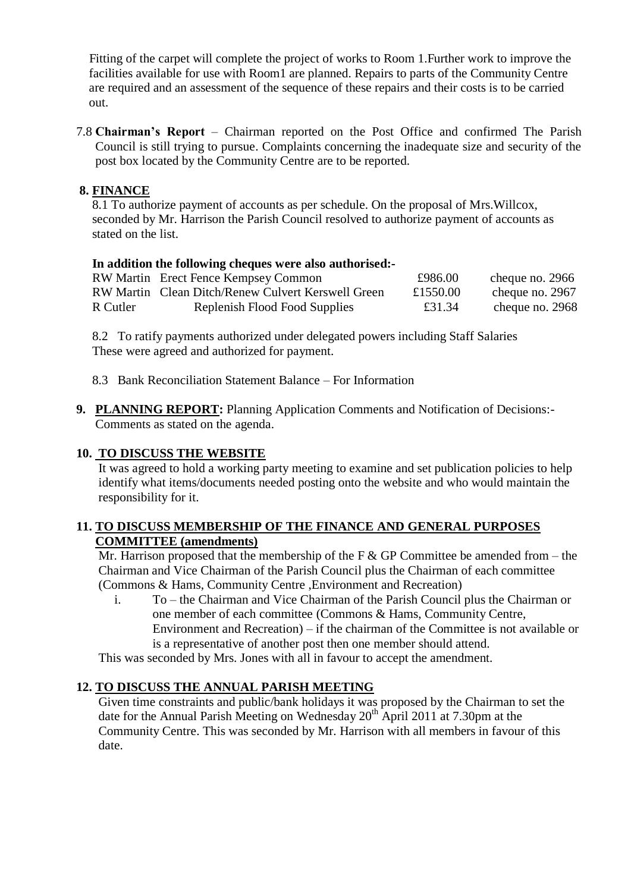Fitting of the carpet will complete the project of works to Room 1.Further work to improve the facilities available for use with Room1 are planned. Repairs to parts of the Community Centre are required and an assessment of the sequence of these repairs and their costs is to be carried out.

7.8 **Chairman's Report** – Chairman reported on the Post Office and confirmed The Parish Council is still trying to pursue. Complaints concerning the inadequate size and security of the post box located by the Community Centre are to be reported.

### **8. FINANCE**

 8.1 To authorize payment of accounts as per schedule. On the proposal of Mrs.Willcox, seconded by Mr. Harrison the Parish Council resolved to authorize payment of accounts as stated on the list.

#### **In addition the following cheques were also authorised:-**

|          | RW Martin Erect Fence Kempsey Common               | £986.00  | cheque no. 2966 |
|----------|----------------------------------------------------|----------|-----------------|
|          | RW Martin Clean Ditch/Renew Culvert Kerswell Green | £1550.00 | cheque no. 2967 |
| R Cutler | Replenish Flood Food Supplies                      | £31.34   | cheque no. 2968 |

 8.2 To ratify payments authorized under delegated powers including Staff Salaries These were agreed and authorized for payment.

- 8.3 Bank Reconciliation Statement Balance For Information
- **9. PLANNING REPORT:** Planning Application Comments and Notification of Decisions:- Comments as stated on the agenda.

#### **10. TO DISCUSS THE WEBSITE**

It was agreed to hold a working party meeting to examine and set publication policies to help identify what items/documents needed posting onto the website and who would maintain the responsibility for it.

#### **11. TO DISCUSS MEMBERSHIP OF THE FINANCE AND GENERAL PURPOSES COMMITTEE (amendments)**

Mr. Harrison proposed that the membership of the F  $&$  GP Committee be amended from – the Chairman and Vice Chairman of the Parish Council plus the Chairman of each committee (Commons & Hams, Community Centre ,Environment and Recreation)

i. To – the Chairman and Vice Chairman of the Parish Council plus the Chairman or one member of each committee (Commons & Hams, Community Centre, Environment and Recreation) – if the chairman of the Committee is not available or is a representative of another post then one member should attend.

This was seconded by Mrs. Jones with all in favour to accept the amendment.

#### **12. TO DISCUSS THE ANNUAL PARISH MEETING**

Given time constraints and public/bank holidays it was proposed by the Chairman to set the date for the Annual Parish Meeting on Wednesday  $20^{th}$  April 2011 at 7.30pm at the Community Centre. This was seconded by Mr. Harrison with all members in favour of this date.